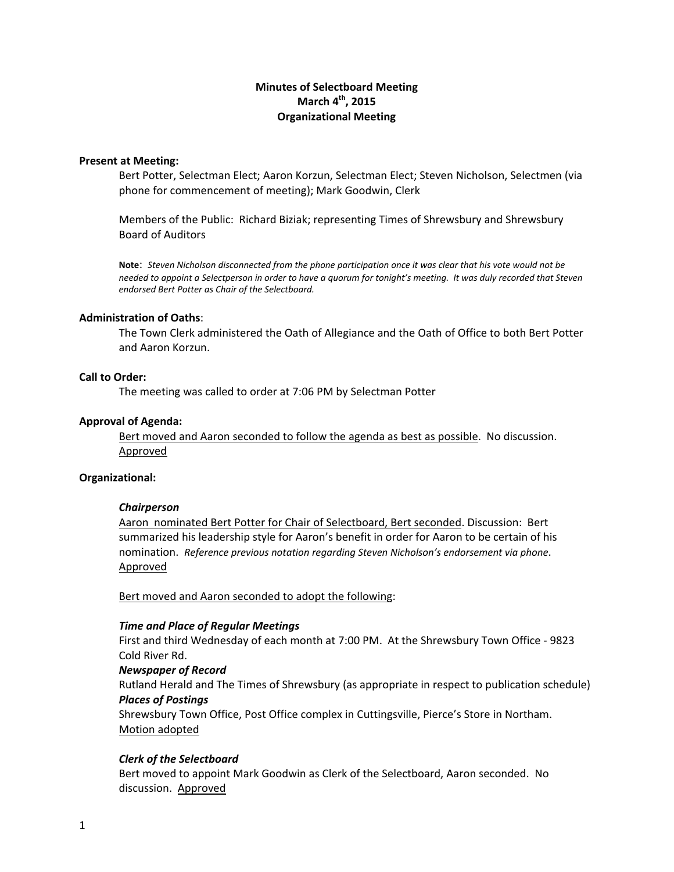# **Minutes of Selectboard Meeting March 4th, 2015 Organizational Meeting**

#### **Present at Meeting:**

Bert Potter, Selectman Elect; Aaron Korzun, Selectman Elect; Steven Nicholson, Selectmen (via phone for commencement of meeting); Mark Goodwin, Clerk

Members of the Public: Richard Biziak; representing Times of Shrewsbury and Shrewsbury Board of Auditors

Note: Steven Nicholson disconnected from the phone participation once it was clear that his vote would not be needed to appoint a Selectperson in order to have a quorum for tonight's meeting. It was duly recorded that Steven *endorsed Bert Potter as Chair of the Selectboard.*

#### **Administration of Oaths**:

The Town Clerk administered the Oath of Allegiance and the Oath of Office to both Bert Potter and Aaron Korzun.

#### **Call to Order:**

The meeting was called to order at 7:06 PM by Selectman Potter

#### **Approval of Agenda:**

Bert moved and Aaron seconded to follow the agenda as best as possible. No discussion. Approved

#### **Organizational:**

#### *Chairperson*

Aaron nominated Bert Potter for Chair of Selectboard, Bert seconded. Discussion: Bert summarized his leadership style for Aaron's benefit in order for Aaron to be certain of his nomination. *Reference previous notation regarding Steven Nicholson's endorsement via phone*. Approved

Bert moved and Aaron seconded to adopt the following:

#### *Time and Place of Regular Meetings*

First and third Wednesday of each month at 7:00 PM. At the Shrewsbury Town Office ‐ 9823 Cold River Rd.

*Newspaper of Record*

Rutland Herald and The Times of Shrewsbury (as appropriate in respect to publication schedule) *Places of Postings*

Shrewsbury Town Office, Post Office complex in Cuttingsville, Pierce's Store in Northam. Motion adopted

## *Clerk of the Selectboard*

Bert moved to appoint Mark Goodwin as Clerk of the Selectboard, Aaron seconded. No discussion. Approved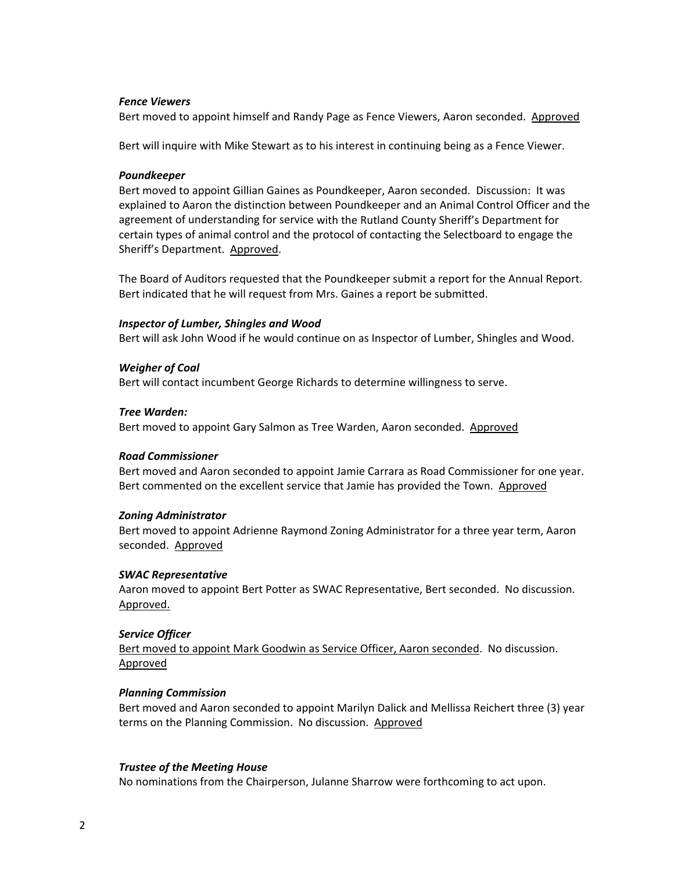## *Fence Viewers*

Bert moved to appoint himself and Randy Page as Fence Viewers, Aaron seconded. Approved

Bert will inquire with Mike Stewart as to his interest in continuing being as a Fence Viewer.

# *Poundkeeper*

Bert moved to appoint Gillian Gaines as Poundkeeper, Aaron seconded. Discussion: It was explained to Aaron the distinction between Poundkeeper and an Animal Control Officer and the agreement of understanding for service with the Rutland County Sheriff's Department for certain types of animal control and the protocol of contacting the Selectboard to engage the Sheriff's Department. Approved.

The Board of Auditors requested that the Poundkeeper submit a report for the Annual Report. Bert indicated that he will request from Mrs. Gaines a report be submitted.

# *Inspector of Lumber, Shingles and Wood*

Bert will ask John Wood if he would continue on as Inspector of Lumber, Shingles and Wood.

# *Weigher of Coal*

Bert will contact incumbent George Richards to determine willingness to serve.

# *Tree Warden:*

Bert moved to appoint Gary Salmon as Tree Warden, Aaron seconded. Approved

## *Road Commissioner*

Bert moved and Aaron seconded to appoint Jamie Carrara as Road Commissioner for one year. Bert commented on the excellent service that Jamie has provided the Town. Approved

## *Zoning Administrator*

Bert moved to appoint Adrienne Raymond Zoning Administrator for a three year term, Aaron seconded. **Approved** 

# *SWAC Representative*

Aaron moved to appoint Bert Potter as SWAC Representative, Bert seconded. No discussion. Approved.

## *Service Officer*

Bert moved to appoint Mark Goodwin as Service Officer, Aaron seconded. No discussion. Approved

## *Planning Commission*

Bert moved and Aaron seconded to appoint Marilyn Dalick and Mellissa Reichert three (3) year terms on the Planning Commission. No discussion. Approved

## *Trustee of the Meeting House*

No nominations from the Chairperson, Julanne Sharrow were forthcoming to act upon.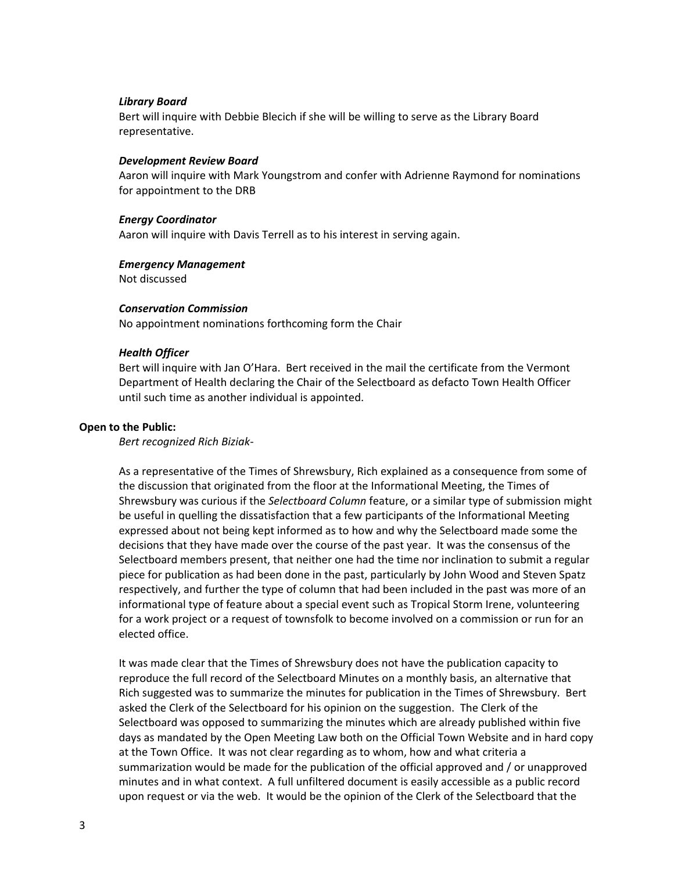## *Library Board*

Bert will inquire with Debbie Blecich if she will be willing to serve as the Library Board representative.

## *Development Review Board*

Aaron will inquire with Mark Youngstrom and confer with Adrienne Raymond for nominations for appointment to the DRB

## *Energy Coordinator*

Aaron will inquire with Davis Terrell as to his interest in serving again.

# *Emergency Management*

Not discussed

# *Conservation Commission*

No appointment nominations forthcoming form the Chair

# *Health Officer*

Bert will inquire with Jan O'Hara. Bert received in the mail the certificate from the Vermont Department of Health declaring the Chair of the Selectboard as defacto Town Health Officer until such time as another individual is appointed.

# **Open to the Public:**

*Bert recognized Rich Biziak‐* 

As a representative of the Times of Shrewsbury, Rich explained as a consequence from some of the discussion that originated from the floor at the Informational Meeting, the Times of Shrewsbury was curious if the *Selectboard Column* feature, or a similar type of submission might be useful in quelling the dissatisfaction that a few participants of the Informational Meeting expressed about not being kept informed as to how and why the Selectboard made some the decisions that they have made over the course of the past year. It was the consensus of the Selectboard members present, that neither one had the time nor inclination to submit a regular piece for publication as had been done in the past, particularly by John Wood and Steven Spatz respectively, and further the type of column that had been included in the past was more of an informational type of feature about a special event such as Tropical Storm Irene, volunteering for a work project or a request of townsfolk to become involved on a commission or run for an elected office.

It was made clear that the Times of Shrewsbury does not have the publication capacity to reproduce the full record of the Selectboard Minutes on a monthly basis, an alternative that Rich suggested was to summarize the minutes for publication in the Times of Shrewsbury. Bert asked the Clerk of the Selectboard for his opinion on the suggestion. The Clerk of the Selectboard was opposed to summarizing the minutes which are already published within five days as mandated by the Open Meeting Law both on the Official Town Website and in hard copy at the Town Office. It was not clear regarding as to whom, how and what criteria a summarization would be made for the publication of the official approved and / or unapproved minutes and in what context. A full unfiltered document is easily accessible as a public record upon request or via the web. It would be the opinion of the Clerk of the Selectboard that the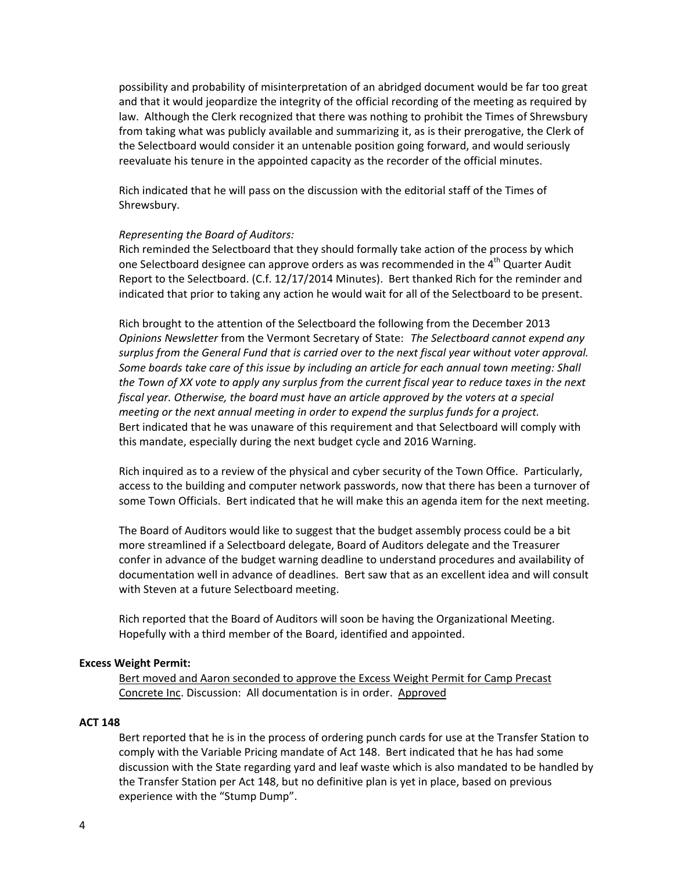possibility and probability of misinterpretation of an abridged document would be far too great and that it would jeopardize the integrity of the official recording of the meeting as required by law. Although the Clerk recognized that there was nothing to prohibit the Times of Shrewsbury from taking what was publicly available and summarizing it, as is their prerogative, the Clerk of the Selectboard would consider it an untenable position going forward, and would seriously reevaluate his tenure in the appointed capacity as the recorder of the official minutes.

Rich indicated that he will pass on the discussion with the editorial staff of the Times of Shrewsbury.

# *Representing the Board of Auditors:*

Rich reminded the Selectboard that they should formally take action of the process by which one Selectboard designee can approve orders as was recommended in the 4<sup>th</sup> Quarter Audit Report to the Selectboard. (C.f. 12/17/2014 Minutes). Bert thanked Rich for the reminder and indicated that prior to taking any action he would wait for all of the Selectboard to be present.

Rich brought to the attention of the Selectboard the following from the December 2013 *Opinions Newsletter* from the Vermont Secretary of State:*The Selectboard cannot expend any surplus from the General Fund that is carried over to the next fiscal year without voter approval. Some boards take care of this issue by including an article for each annual town meeting: Shall* the Town of XX vote to apply any surplus from the current fiscal year to reduce taxes in the next *fiscal year. Otherwise, the board must have an article approved by the voters at a special meeting or the next annual meeting in order to expend the surplus funds for a project.* Bert indicated that he was unaware of this requirement and that Selectboard will comply with this mandate, especially during the next budget cycle and 2016 Warning.

Rich inquired as to a review of the physical and cyber security of the Town Office. Particularly, access to the building and computer network passwords, now that there has been a turnover of some Town Officials. Bert indicated that he will make this an agenda item for the next meeting.

The Board of Auditors would like to suggest that the budget assembly process could be a bit more streamlined if a Selectboard delegate, Board of Auditors delegate and the Treasurer confer in advance of the budget warning deadline to understand procedures and availability of documentation well in advance of deadlines. Bert saw that as an excellent idea and will consult with Steven at a future Selectboard meeting.

Rich reported that the Board of Auditors will soon be having the Organizational Meeting. Hopefully with a third member of the Board, identified and appointed.

## **Excess Weight Permit:**

Bert moved and Aaron seconded to approve the Excess Weight Permit for Camp Precast Concrete Inc. Discussion: All documentation is in order. Approved

## **ACT 148**

Bert reported that he is in the process of ordering punch cards for use at the Transfer Station to comply with the Variable Pricing mandate of Act 148. Bert indicated that he has had some discussion with the State regarding yard and leaf waste which is also mandated to be handled by the Transfer Station per Act 148, but no definitive plan is yet in place, based on previous experience with the "Stump Dump".